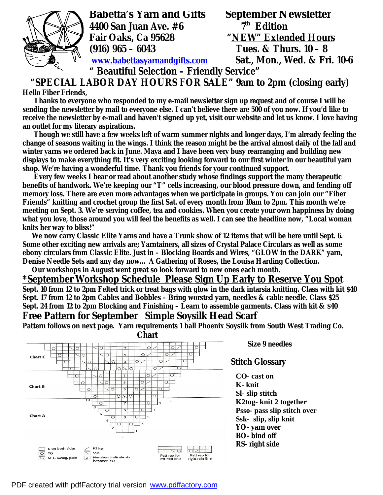

**4400 San Juan Ave. #6 7th Edition (916) 965 – 6043 Tues. & Thurs. 10 – 8** 

**Babetta's Yarn and Gifts September Newsletter**<br>4400 San Juan Ave. #6 5 7<sup>th</sup> Edition **Fair Oaks, Ca 95628 "NEW" Extended Hours [www.babettasyarnandgifts.com](http://www.babettasyarnandgifts.com) Sat., Mon., Wed. & Fri. 10-6** 

## **" Beautiful Selection – Friendly Service" "SPECIAL LABOR DAY HOURS FOR SALE" 9am to 2pm (closing early)**

**Hello Fiber Friends,** 

 **Thanks to everyone who responded to my e-mail newsletter sign up request and of course I will be sending the newsletter by mail to everyone else. I can't believe there are 500 of you now. If you'd like to receive the newsletter by e-mail and haven't signed up yet, visit our website and let us know. I love having an outlet for my literary aspirations.** 

 **Though we still have a few weeks left of warm summer nights and longer days, I'm already feeling the change of seasons waiting in the wings. I think the reason might be the arrival almost daily of the fall and winter yarns we ordered back in June. Maya and I have been very busy rearranging and building new displays to make everything fit. It's very exciting looking forward to our first winter in our beautiful yarn shop. We're having a wonderful time. Thank you friends for your continued support.** 

 **Every few weeks I hear or read about another study whose findings support the many therapeutic benefits of handwork. We're keeping our "T" cells increasing, our blood pressure down, and fending off memory loss. There are even more advantages when we participate in groups. You can join our "Fiber Friends" knitting and crochet group the first Sat. of every month from 10am to 2pm. This month we're meeting on Sept. 3. We're serving coffee, tea and cookies. When you create your own happiness by doing what you love, those around you will feel the benefits as well. I can see the headline now, "Local woman knits her way to bliss!"** 

 **We now carry Classic Elite Yarns and have a Trunk show of 12 items that will be here until Sept. 6. Some other exciting new arrivals are; Yarntainers, all sizes of Crystal Palace Circulars as well as some ebony circulars from Classic Elite. Just in – Blocking Boards and Wires, "GLOW in the DARK" yarn, Denise Needle Sets and any day now… A Gathering of Roses, the Louisa Harding Collection.** 

 **Our workshops in August went great so look forward to new ones each month.** 

### **\*September Workshop Schedule Please Sign Up Early to Reserve You Spot**

**Sept. 10 from 12 to 2pm Felted trick or treat bags with glow in the dark intarsia knitting. Class with kit \$40 Sept. 17 from 12 to 2pm Cables and Bobbles – Bring worsted yarn, needles & cable needle. Class \$25 Sept. 24 from 12 to 2pm Blocking and Finishing – Learn to assemble garments. Class with kit & \$40 Free Pattern for September Simple Soysilk Head Scarf** 

**Pattern follows on next page. Yarn requirements 1 ball Phoenix Soysilk from South West Trading Co.** 





 **Size 9 needles** 

**CO- cast on K- knit Sl- slip stitch K2tog- knit 2 together Psso- pass slip stitch over Ssk- slip, slip knit YO- yarn over BO- bind off RS- right side**